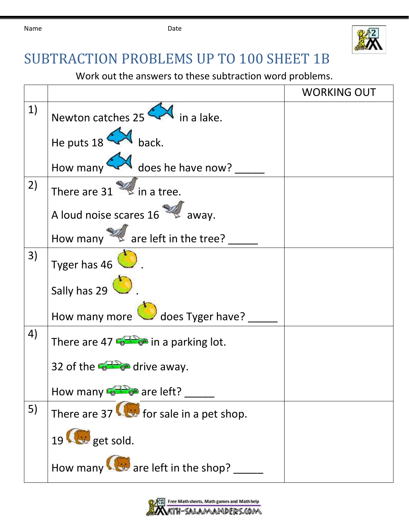

## SUBTRACTION PROBLEMS UP TO 100 SHEET 1B

Work out the answers to these subtraction word problems.

|    |                                                   | <b>WORKING OUT</b> |
|----|---------------------------------------------------|--------------------|
| 1) | Newton catches $25 \leftarrow$ in a lake.         |                    |
|    | He puts $18$ M back.                              |                    |
|    | How many $\leftarrow$ does he have now?           |                    |
| 2) | There are $31$ $\approx$ in a tree.               |                    |
|    | A loud noise scares 16                            |                    |
|    | How many $\mathbb{Z}$ are left in the tree?       |                    |
| 3) | Tyger has $46$                                    |                    |
|    | Sally has 29                                      |                    |
|    | How many more does Tyger have?                    |                    |
| 4) | There are 47 $\bullet$ in a parking lot.          |                    |
|    | 32 of the $\frac{1}{2}$ $\frac{1}{2}$ drive away. |                    |
|    | How many $\frac{1}{\sqrt{2}}$ are left?           |                    |
| 5) | There are $37$ for sale in a pet shop.            |                    |
|    | 19 <b>G</b> get sold.                             |                    |
|    | How many $\bigotimes$ are left in the shop?       |                    |